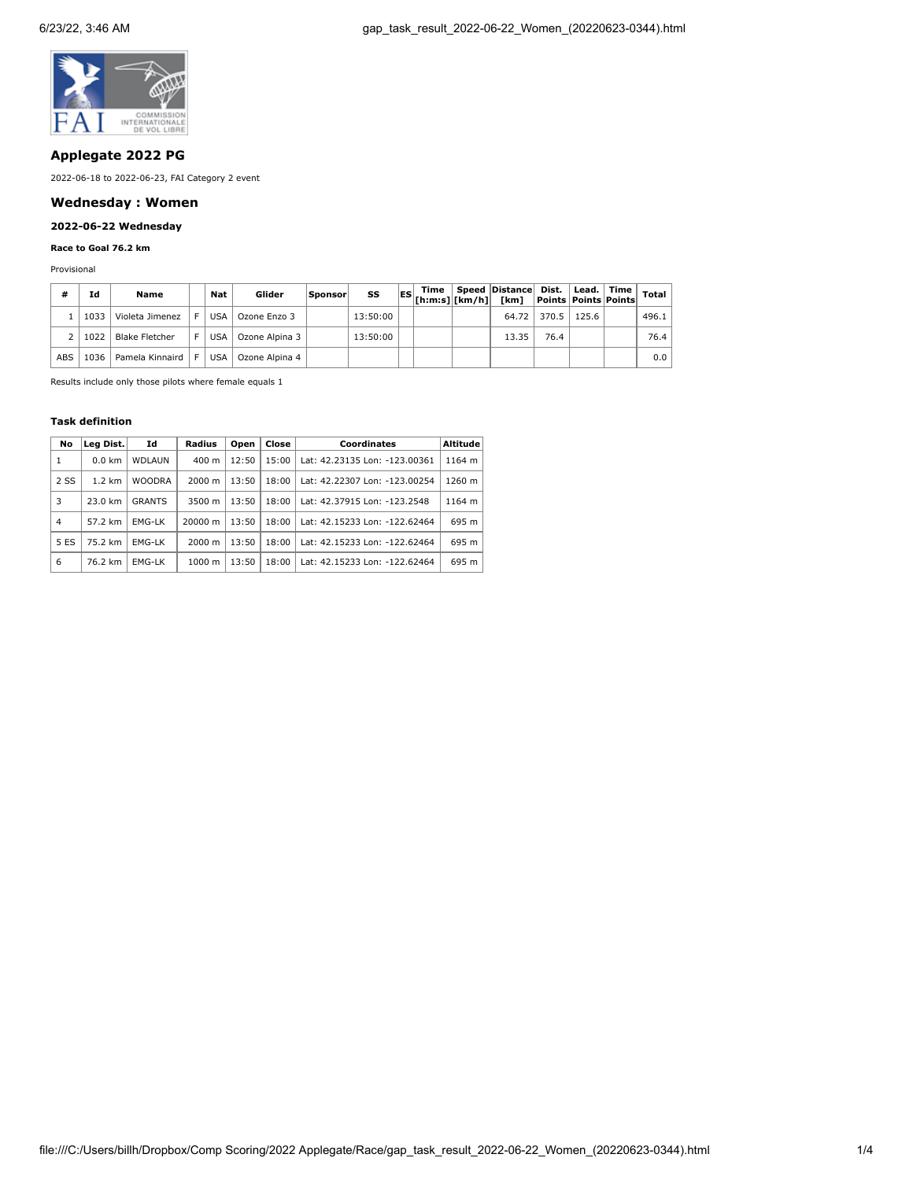

# **Applegate 2022 PG**

2022-06-18 to 2022-06-23, FAI Category 2 event

# **Wednesday : Women**

# **2022-06-22 Wednesday**

## **Race to Goal 76.2 km**

Provisional

| #          | Ιd   | Name            |   | Nat        | Glider         | Sponsor | SS       | Time | Speed Distance Dist.   Lead.   Time  <br>$\frac{ \text{ES}  \cdot \text{Time}}{ \text{In:m:s}   \text{Em}/\text{h} }$ $\frac{ \text{km} \cdot \text{Time} }{ \text{km}/\text{h} }$ $\frac{ \text{F} \cdot \text{Time} }{ \text{F} \cdot \text{Time} }$ |       |       | <b>Total</b> |
|------------|------|-----------------|---|------------|----------------|---------|----------|------|--------------------------------------------------------------------------------------------------------------------------------------------------------------------------------------------------------------------------------------------------------|-------|-------|--------------|
|            | 1033 | Violeta Jimenez |   | <b>USA</b> | Ozone Enzo 3   |         | 13:50:00 |      | 64.72                                                                                                                                                                                                                                                  | 370.5 | 125.6 | 496.1        |
|            | 1022 | Blake Fletcher  |   | <b>USA</b> | Ozone Alpina 3 |         | 13:50:00 |      | 13.35                                                                                                                                                                                                                                                  | 76.4  |       | 76.4         |
| <b>ABS</b> | 1036 | Pamela Kinnaird | E | <b>USA</b> | Ozone Alpina 4 |         |          |      |                                                                                                                                                                                                                                                        |       |       | 0.0          |

Results include only those pilots where female equals 1

### **Task definition**

| No   | Leg Dist.        | Id            | Radius             | Open  | Close | <b>Coordinates</b>            | <b>Altitude</b> |
|------|------------------|---------------|--------------------|-------|-------|-------------------------------|-----------------|
| 1    | $0.0 \text{ km}$ | <b>WDLAUN</b> | $400 \text{ m}$    | 12:50 | 15:00 | Lat: 42.23135 Lon: -123.00361 | 1164 m          |
| 2 SS | $1.2 \text{ km}$ | <b>WOODRA</b> | $2000 \; \text{m}$ | 13:50 | 18:00 | Lat: 42.22307 Lon: -123.00254 | 1260 m          |
| 3    | 23.0 km          | <b>GRANTS</b> | 3500 m             | 13:50 | 18:00 | Lat: 42.37915 Lon: -123.2548  | 1164 m          |
| 4    | 57.2 km          | <b>EMG-LK</b> | 20000 m            | 13:50 | 18:00 | Lat: 42.15233 Lon: -122.62464 | 695 m           |
| 5 ES | 75.2 km          | EMG-LK        | $2000 \; \text{m}$ | 13:50 | 18:00 | Lat: 42.15233 Lon: -122.62464 | 695 m           |
| 6    | 76.2 km          | EMG-LK        | $1000 \; m$        | 13:50 | 18:00 | Lat: 42.15233 Lon: -122.62464 | 695 m           |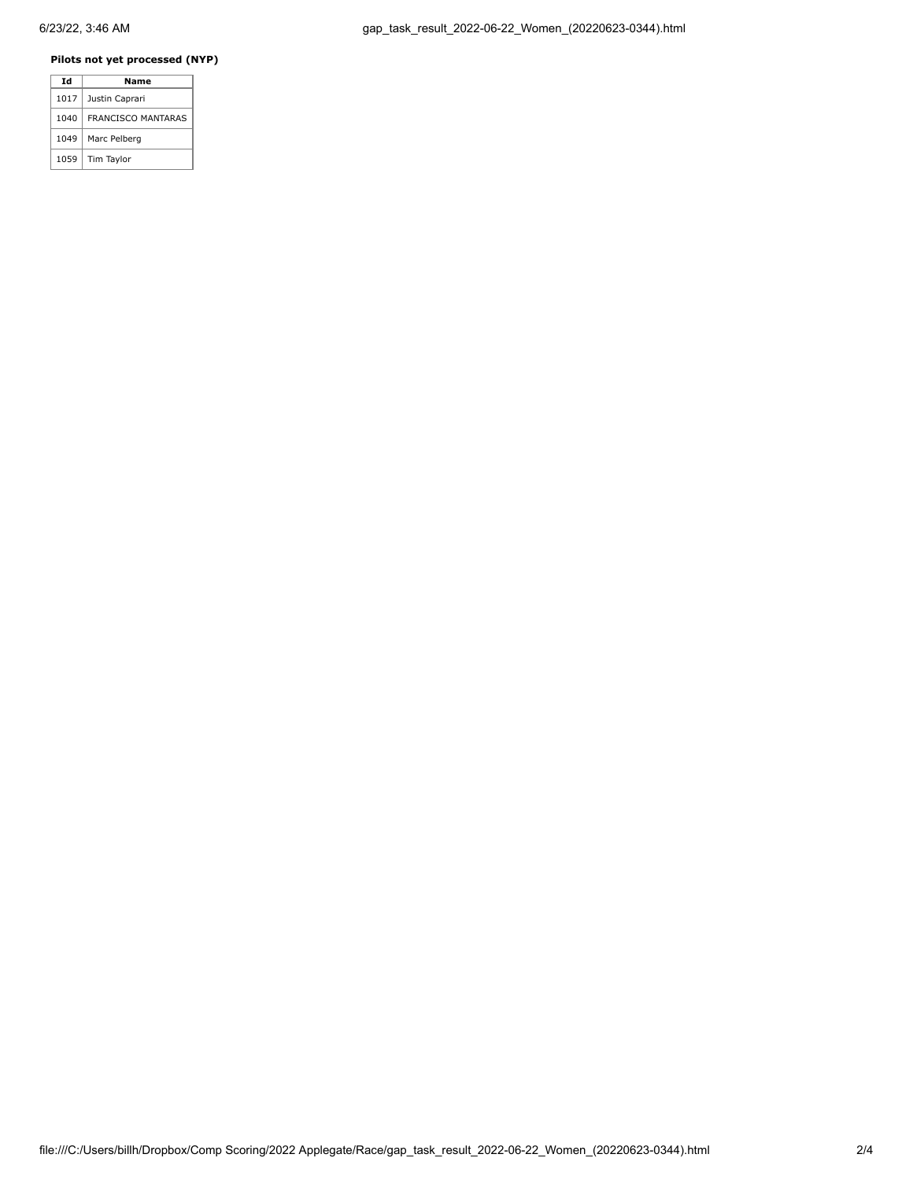# **Pilots not yet processed (NYP)**

| Id   | Name                      |
|------|---------------------------|
| 1017 | Justin Caprari            |
| 1040 | <b>FRANCISCO MANTARAS</b> |
| 1049 | Marc Pelberg              |
| 1059 | Tim Taylor                |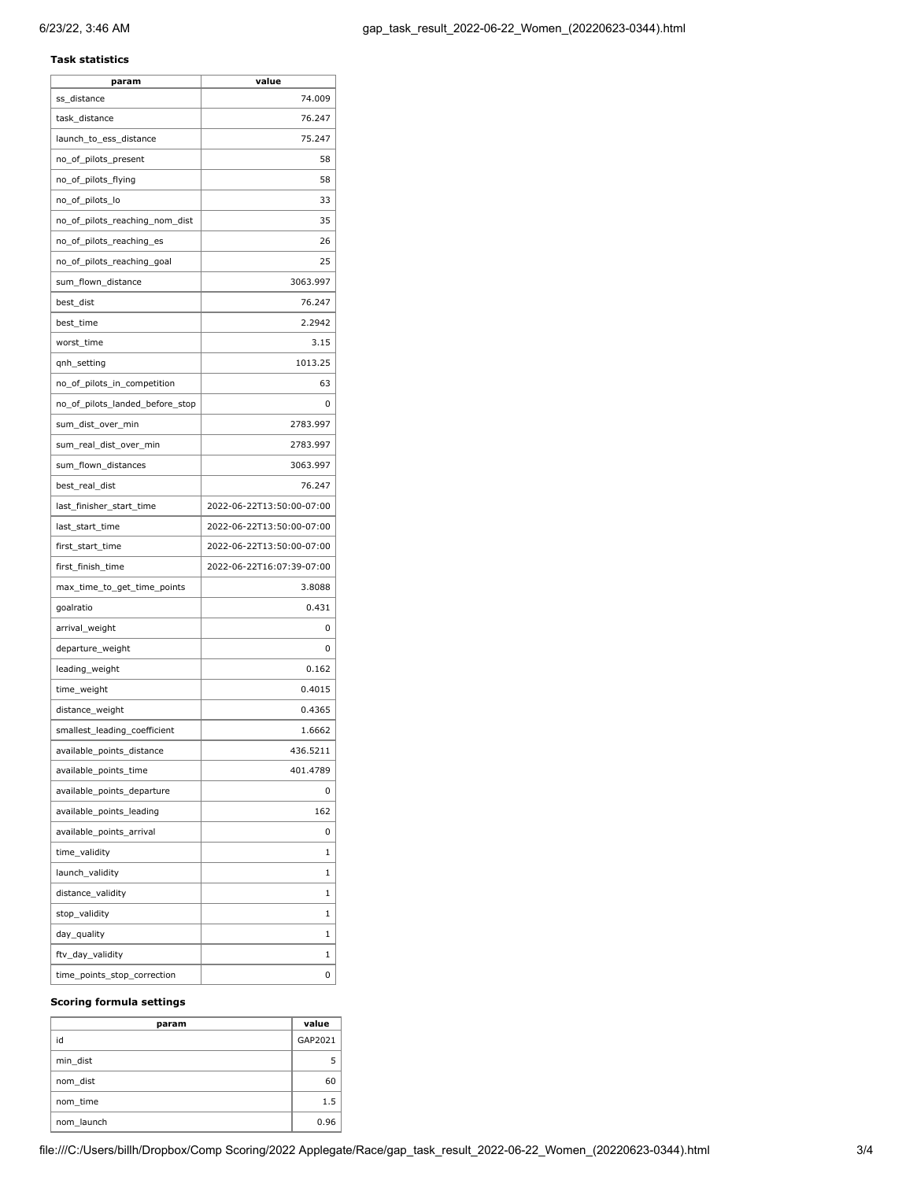## **Task statistics**

| param                           | value                     |
|---------------------------------|---------------------------|
| ss_distance                     | 74.009                    |
| task_distance                   | 76.247                    |
| launch_to_ess_distance          | 75.247                    |
| no_of_pilots_present            | 58                        |
| no_of_pilots_flying             | 58                        |
| no_of_pilots_lo                 | 33                        |
| no_of_pilots_reaching_nom_dist  | 35                        |
| no_of_pilots_reaching_es        | 26                        |
| no_of_pilots_reaching_goal      | 25                        |
| sum_flown_distance              | 3063.997                  |
| best_dist                       | 76.247                    |
| best_time                       | 2.2942                    |
| worst_time                      | 3.15                      |
| qnh_setting                     | 1013.25                   |
| no_of_pilots_in_competition     | 63                        |
| no_of_pilots_landed_before_stop | 0                         |
| sum_dist_over_min               | 2783.997                  |
| sum_real_dist_over_min          | 2783.997                  |
| sum_flown_distances             | 3063.997                  |
| best_real_dist                  | 76.247                    |
| last_finisher_start_time        | 2022-06-22T13:50:00-07:00 |
| last_start_time                 | 2022-06-22T13:50:00-07:00 |
| first_start_time                | 2022-06-22T13:50:00-07:00 |
| first_finish_time               | 2022-06-22T16:07:39-07:00 |
| max_time_to_get_time_points     | 3.8088                    |
| goalratio                       | 0.431                     |
| arrival_weight                  | 0                         |
| departure_weight                | 0                         |
| leading_weight                  | 0.162                     |
| time_weight                     | 0.4015                    |
| distance_weight                 | 0.4365                    |
| smallest_leading_coefficient    | 1.6662                    |
| available_points_distance       | 436.5211                  |
| available_points_time           | 401.4789                  |
| available points departure      | 0                         |
| available_points_leading        | 162                       |
| available_points_arrival        | 0                         |
| time_validity                   | 1                         |
| launch_validity                 | 1                         |
| distance_validity               | 1                         |
| stop_validity                   | 1                         |
| day_quality                     | 1                         |
| ftv_day_validity                | 1                         |
| time_points_stop_correction     | 0                         |
|                                 |                           |

### **Scoring formula settings**

| param      | value   |
|------------|---------|
| id         | GAP2021 |
| min dist   |         |
| nom dist   | 60      |
| nom time   | 1.5     |
| nom launch | 0.96    |